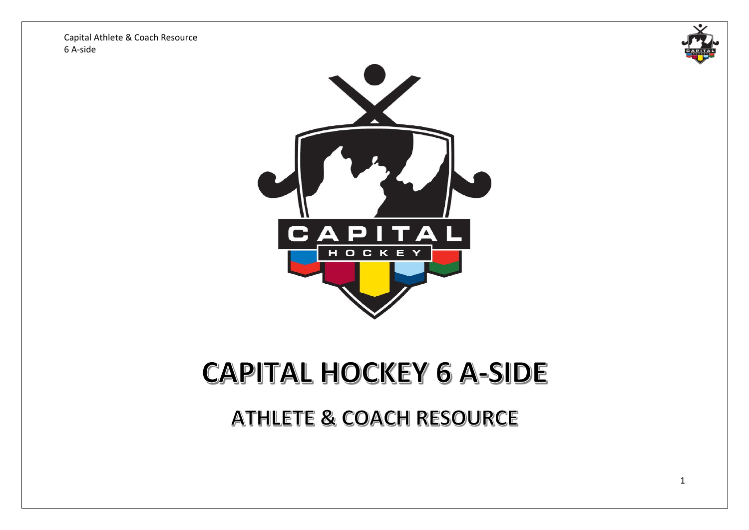



# **CAPITAL HOCKEY 6 A-SIDE**

**ATHLETE & COACH RESOURCE**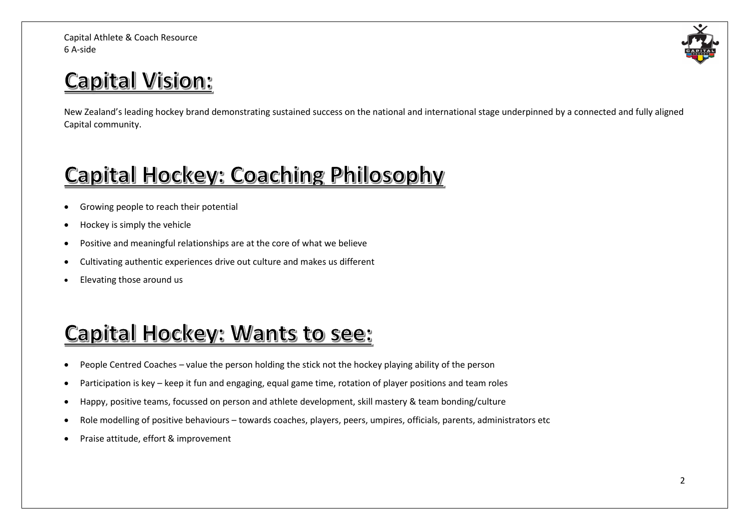## **Capital Vision:**

New Zealand's leading hockey brand demonstrating sustained success on the national and international stage underpinned by a connected and fully aligned Capital community.

## Capital Hockey: Coaching Philosophy

- Growing people to reach their potential
- Hockey is simply the vehicle
- Positive and meaningful relationships are at the core of what we believe
- Cultivating authentic experiences drive out culture and makes us different
- Elevating those around us

## Capital Hockey: Wants to see:

- People Centred Coaches value the person holding the stick not the hockey playing ability of the person
- Participation is key keep it fun and engaging, equal game time, rotation of player positions and team roles
- Happy, positive teams, focussed on person and athlete development, skill mastery & team bonding/culture
- Role modelling of positive behaviours towards coaches, players, peers, umpires, officials, parents, administrators etc
- Praise attitude, effort & improvement

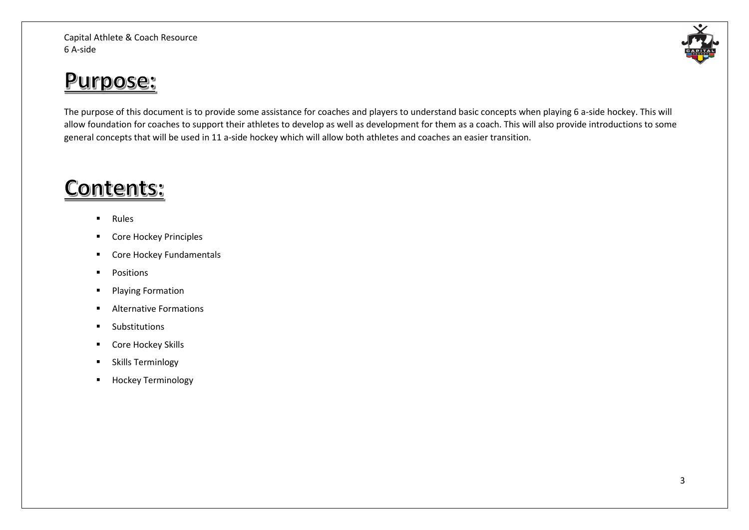### Purpose:

The purpose of this document is to provide some assistance for coaches and players to understand basic concepts when playing 6 a-side hockey. This will allow foundation for coaches to support their athletes to develop as well as development for them as a coach. This will also provide introductions to some general concepts that will be used in 11 a-side hockey which will allow both athletes and coaches an easier transition.

### **Contents:**

- Rules
- Core Hockey Principles
- Core Hockey Fundamentals
- Positions
- Playing Formation
- Alternative Formations
- Substitutions
- Core Hockey Skills
- **■** Skills Terminlogy
- Hockey Terminology

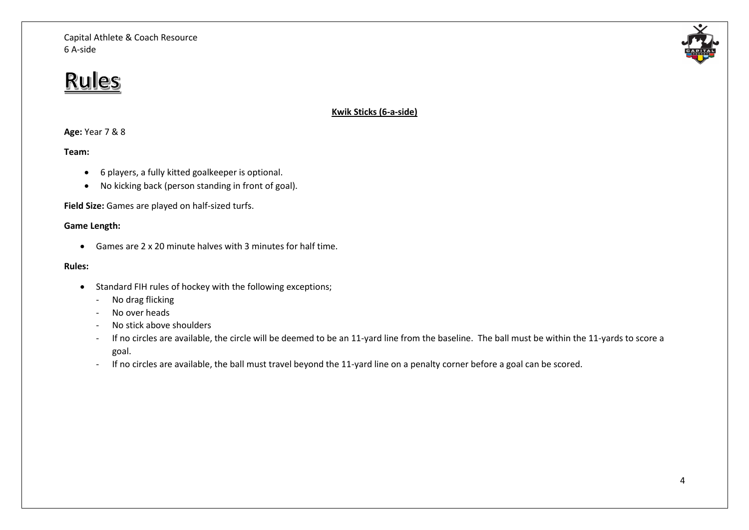### **Rules**

**Kwik Sticks (6-a-side)**

#### **Age:** Year 7 & 8

#### **Team:**

- 6 players, a fully kitted goalkeeper is optional.
- No kicking back (person standing in front of goal).

**Field Size:** Games are played on half-sized turfs.

#### **Game Length:**

• Games are 2 x 20 minute halves with 3 minutes for half time.

#### **Rules:**

- Standard FIH rules of hockey with the following exceptions;
	- No drag flicking
	- No over heads
	- No stick above shoulders
	- If no circles are available, the circle will be deemed to be an 11-yard line from the baseline. The ball must be within the 11-yards to score a goal.
	- If no circles are available, the ball must travel beyond the 11-yard line on a penalty corner before a goal can be scored.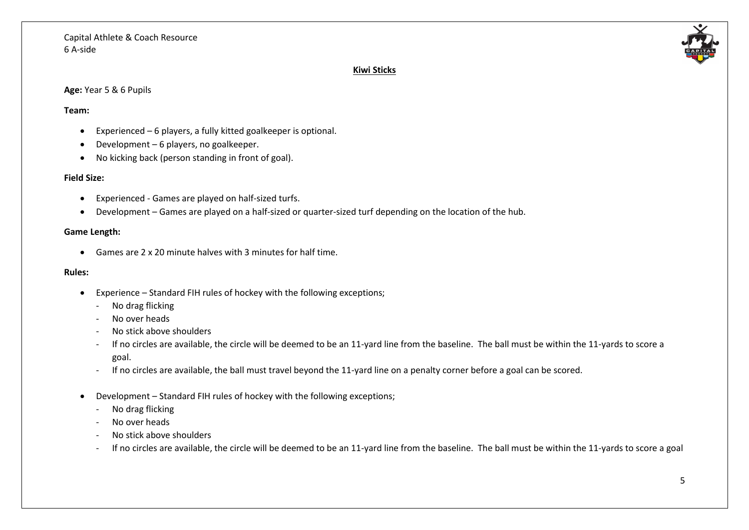

#### **Kiwi Sticks**

#### **Age:** Year 5 & 6 Pupils

#### **Team:**

- Experienced 6 players, a fully kitted goalkeeper is optional.
- Development 6 players, no goalkeeper.
- No kicking back (person standing in front of goal).

#### **Field Size:**

- Experienced Games are played on half-sized turfs.
- Development Games are played on a half-sized or quarter-sized turf depending on the location of the hub.

#### **Game Length:**

• Games are 2 x 20 minute halves with 3 minutes for half time.

#### **Rules:**

- Experience Standard FIH rules of hockey with the following exceptions;
	- No drag flicking
	- No over heads
	- No stick above shoulders
	- If no circles are available, the circle will be deemed to be an 11-yard line from the baseline. The ball must be within the 11-yards to score a goal.
	- If no circles are available, the ball must travel beyond the 11-yard line on a penalty corner before a goal can be scored.
- Development Standard FIH rules of hockey with the following exceptions;
	- No drag flicking
	- No over heads
	- No stick above shoulders
	- If no circles are available, the circle will be deemed to be an 11-yard line from the baseline. The ball must be within the 11-yards to score a goal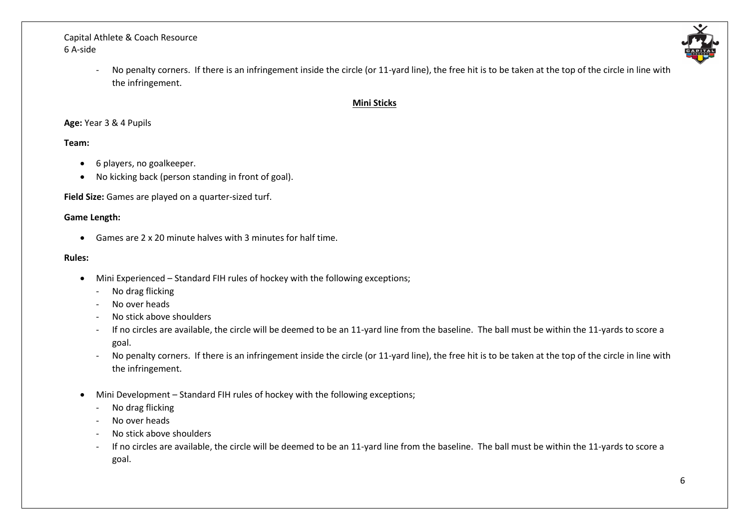

- No penalty corners. If there is an infringement inside the circle (or 11-yard line), the free hit is to be taken at the top of the circle in line with the infringement.

#### **Mini Sticks**

#### **Age:** Year 3 & 4 Pupils

#### **Team:**

- 6 players, no goalkeeper.
- No kicking back (person standing in front of goal).

**Field Size:** Games are played on a quarter-sized turf.

#### **Game Length:**

• Games are 2 x 20 minute halves with 3 minutes for half time.

#### **Rules:**

- Mini Experienced Standard FIH rules of hockey with the following exceptions;
	- No drag flicking
	- No over heads
	- No stick above shoulders
	- If no circles are available, the circle will be deemed to be an 11-yard line from the baseline. The ball must be within the 11-yards to score a goal.
	- No penalty corners. If there is an infringement inside the circle (or 11-yard line), the free hit is to be taken at the top of the circle in line with the infringement.
- Mini Development Standard FIH rules of hockey with the following exceptions;
	- No drag flicking
	- No over heads
	- No stick above shoulders
	- If no circles are available, the circle will be deemed to be an 11-yard line from the baseline. The ball must be within the 11-yards to score a goal.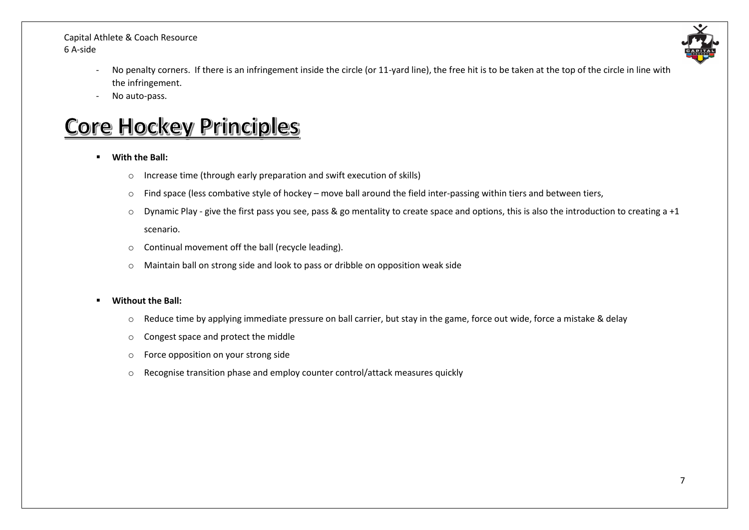

- No penalty corners. If there is an infringement inside the circle (or 11-yard line), the free hit is to be taken at the top of the circle in line with the infringement.
- No auto-pass.

### **Core Hockey Principles**

- **With the Ball:** 
	- o Increase time (through early preparation and swift execution of skills)
	- o Find space (less combative style of hockey move ball around the field inter-passing within tiers and between tiers,
	- $\circ$  Dynamic Play give the first pass you see, pass & go mentality to create space and options, this is also the introduction to creating a +1 scenario.
	- o Continual movement off the ball (recycle leading).
	- o Maintain ball on strong side and look to pass or dribble on opposition weak side

#### **Without the Ball:**

- o Reduce time by applying immediate pressure on ball carrier, but stay in the game, force out wide, force a mistake & delay
- o Congest space and protect the middle
- o Force opposition on your strong side
- o Recognise transition phase and employ counter control/attack measures quickly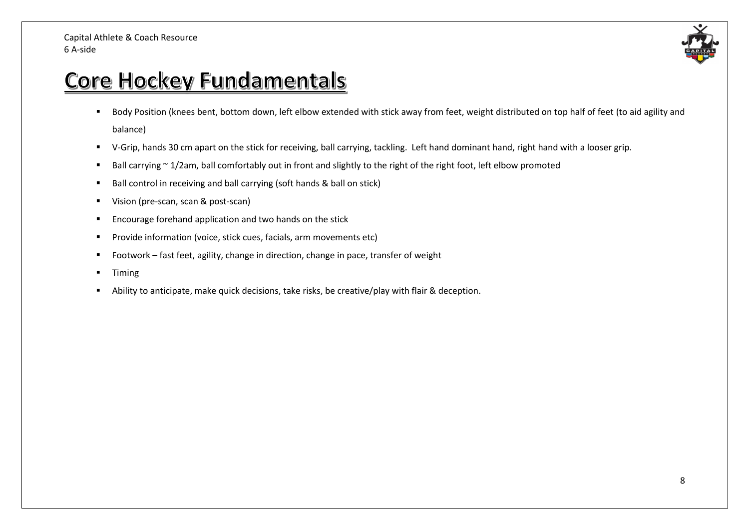

### Core Hockey Fundamentals

- Body Position (knees bent, bottom down, left elbow extended with stick away from feet, weight distributed on top half of feet (to aid agility and balance)
- V-Grip, hands 30 cm apart on the stick for receiving, ball carrying, tackling. Left hand dominant hand, right hand with a looser grip.
- Ball carrying ~ 1/2am, ball comfortably out in front and slightly to the right of the right foot, left elbow promoted
- Ball control in receiving and ball carrying (soft hands & ball on stick)
- Vision (pre-scan, scan & post-scan)
- Encourage forehand application and two hands on the stick
- Provide information (voice, stick cues, facials, arm movements etc)
- Footwork fast feet, agility, change in direction, change in pace, transfer of weight
- Timing
- Ability to anticipate, make quick decisions, take risks, be creative/play with flair & deception.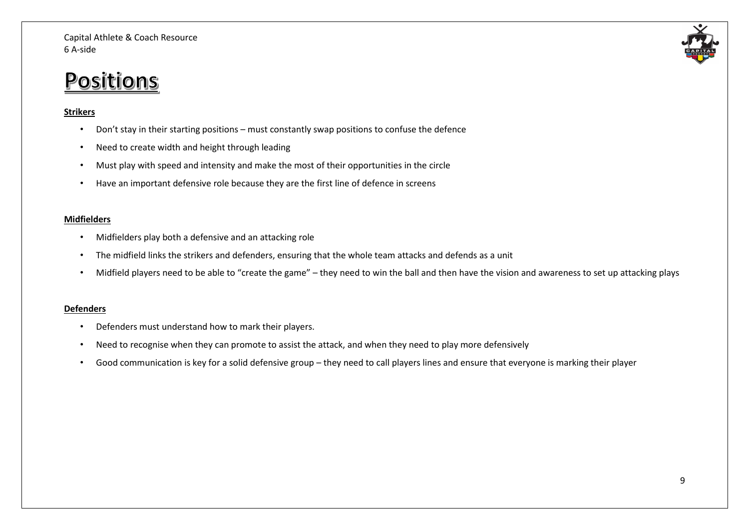### Positions

#### **Strikers**

- Don't stay in their starting positions must constantly swap positions to confuse the defence
- Need to create width and height through leading
- Must play with speed and intensity and make the most of their opportunities in the circle
- Have an important defensive role because they are the first line of defence in screens

#### **Midfielders**

- Midfielders play both a defensive and an attacking role
- The midfield links the strikers and defenders, ensuring that the whole team attacks and defends as a unit
- Midfield players need to be able to "create the game" they need to win the ball and then have the vision and awareness to set up attacking plays

#### **Defenders**

- Defenders must understand how to mark their players.
- Need to recognise when they can promote to assist the attack, and when they need to play more defensively
- Good communication is key for a solid defensive group they need to call players lines and ensure that everyone is marking their player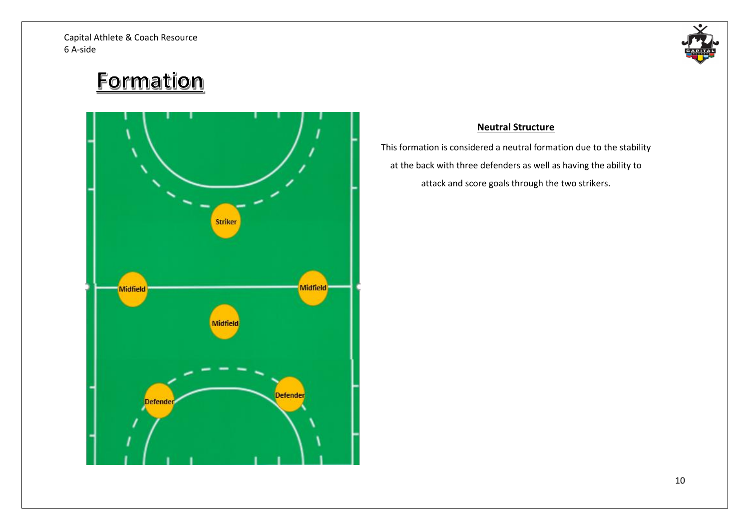

### Formation



#### **Neutral Structure**

This formation is considered a neutral formation due to the stability at the back with three defenders as well as having the ability to attack and score goals through the two strikers.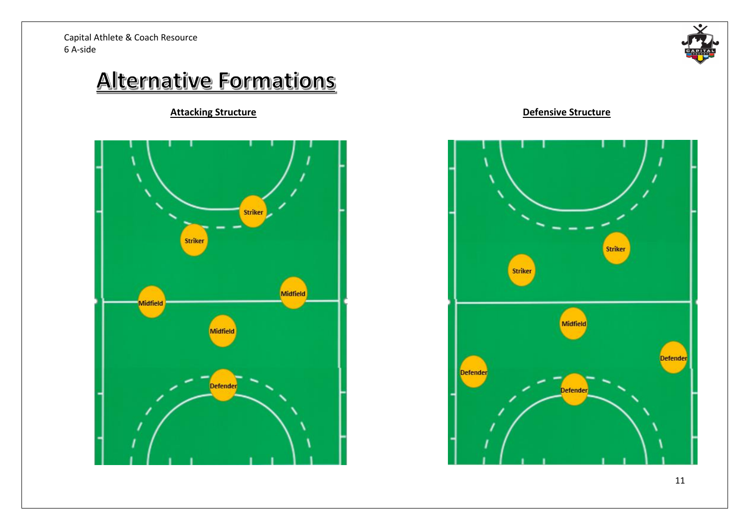

### **Alternative Formations**





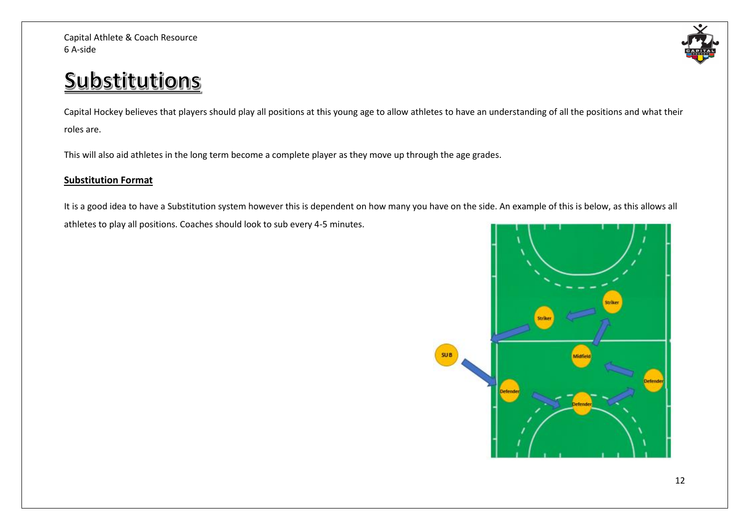# Substitutions

Capital Hockey believes that players should play all positions at this young age to allow athletes to have an understanding of all the positions and what their roles are.

This will also aid athletes in the long term become a complete player as they move up through the age grades.

#### **Substitution Format**

It is a good idea to have a Substitution system however this is dependent on how many you have on the side. An example of this is below, as this allows all athletes to play all positions. Coaches should look to sub every 4-5 minutes.

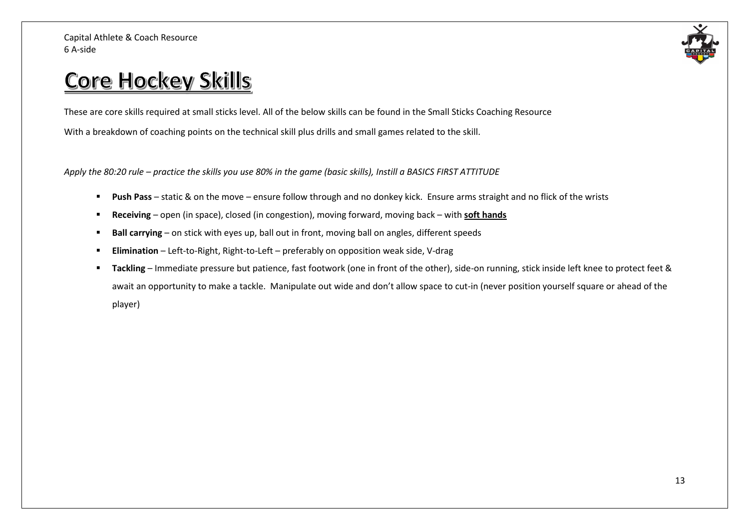

### Core Hockey Skills

These are core skills required at small sticks level. All of the below skills can be found in the Small Sticks Coaching Resource With a breakdown of coaching points on the technical skill plus drills and small games related to the skill.

*Apply the 80:20 rule – practice the skills you use 80% in the game (basic skills), Instill a BASICS FIRST ATTITUDE*

- **Push Pass** static & on the move ensure follow through and no donkey kick. Ensure arms straight and no flick of the wrists
- **Receiving** open (in space), closed (in congestion), moving forward, moving back with **soft hands**
- **EXTED 10 FIGHT 10 Ball carrying** on stick with eyes up, ball out in front, moving ball on angles, different speeds
- **Elimination** Left-to-Right, Right-to-Left preferably on opposition weak side, V-drag
- **Tackling** Immediate pressure but patience, fast footwork (one in front of the other), side-on running, stick inside left knee to protect feet & await an opportunity to make a tackle. Manipulate out wide and don't allow space to cut-in (never position yourself square or ahead of the player)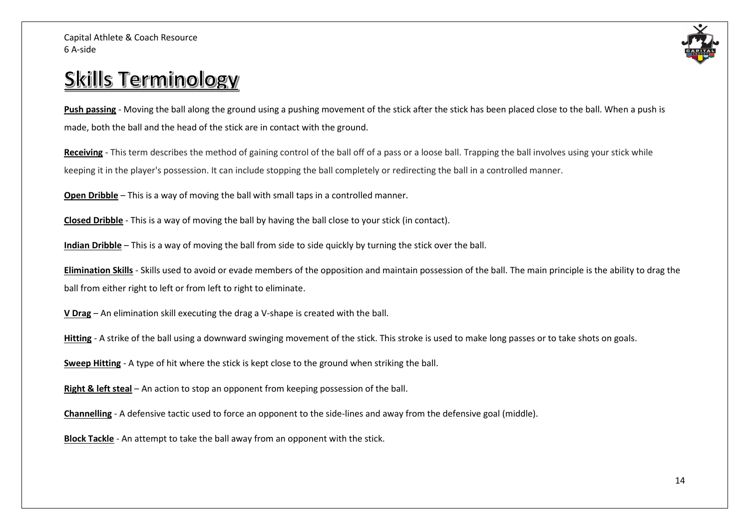

### **Skills Terminology**

**Push passing** - Moving the ball along the ground using a pushing movement of the stick after the stick has been placed close to the ball. When a push is made, both the ball and the head of the stick are in contact with the ground.

**Receiving** - This term describes the method of gaining control of the ball off of a pass or a loose ball. Trapping the ball involves using your stick while keeping it in the player's possession. It can include stopping the ball completely or redirecting the ball in a controlled manner.

**Open Dribble** – This is a way of moving the ball with small taps in a controlled manner.

**Closed Dribble** - This is a way of moving the ball by having the ball close to your stick (in contact).

**Indian Dribble** – This is a way of moving the ball from side to side quickly by turning the stick over the ball.

**Elimination Skills** - Skills used to avoid or evade members of the opposition and maintain possession of the ball. The main principle is the ability to drag the ball from either right to left or from left to right to eliminate.

**V Drag** – An elimination skill executing the drag a V-shape is created with the ball.

Hitting - A strike of the ball using a downward swinging movement of the stick. This stroke is used to make long passes or to take shots on goals.

**Sweep Hitting** - A type of hit where the stick is kept close to the ground when striking the ball.

**Right & left steal** – An action to stop an opponent from keeping possession of the ball.

**Channelling** - A defensive tactic used to force an opponent to the side-lines and away from the defensive goal (middle).

**Block Tackle** - An attempt to take the ball away from an opponent with the stick.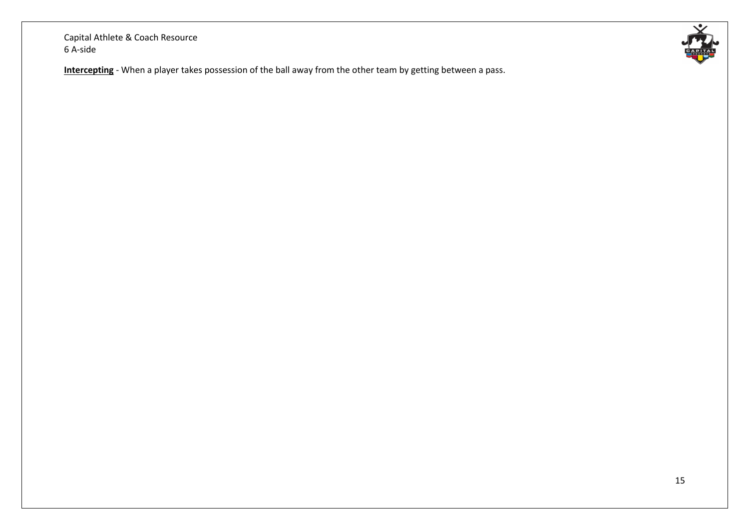**Intercepting** - When a player takes possession of the ball away from the other team by getting between a pass.